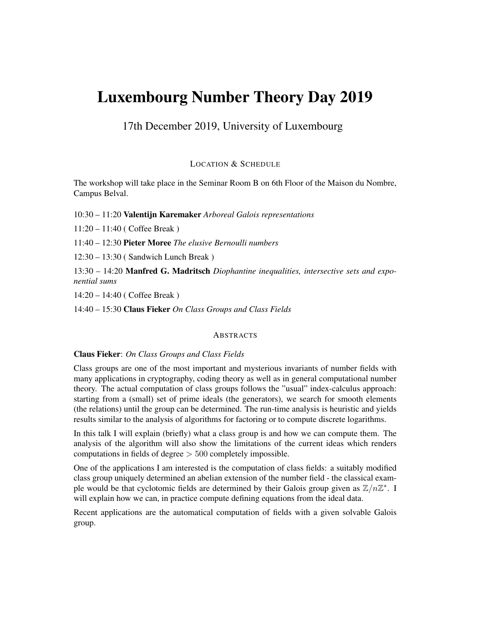# Luxembourg Number Theory Day 2019

17th December 2019, University of Luxembourg

LOCATION & SCHEDULE

The workshop will take place in the Seminar Room B on 6th Floor of the Maison du Nombre, Campus Belval.

10:30 – 11:20 Valentijn Karemaker *Arboreal Galois representations*

11:20 – 11:40 ( Coffee Break )

11:40 – 12:30 Pieter Moree *The elusive Bernoulli numbers*

12:30 – 13:30 ( Sandwich Lunch Break )

13:30 – 14:20 Manfred G. Madritsch *Diophantine inequalities, intersective sets and exponential sums*

14:20 – 14:40 ( Coffee Break )

14:40 – 15:30 Claus Fieker *On Class Groups and Class Fields*

### **ABSTRACTS**

# Claus Fieker: *On Class Groups and Class Fields*

Class groups are one of the most important and mysterious invariants of number fields with many applications in cryptography, coding theory as well as in general computational number theory. The actual computation of class groups follows the "usual" index-calculus approach: starting from a (small) set of prime ideals (the generators), we search for smooth elements (the relations) until the group can be determined. The run-time analysis is heuristic and yields results similar to the analysis of algorithms for factoring or to compute discrete logarithms.

In this talk I will explain (briefly) what a class group is and how we can compute them. The analysis of the algorithm will also show the limitations of the current ideas which renders computations in fields of degree > 500 completely impossible.

One of the applications I am interested is the computation of class fields: a suitably modified class group uniquely determined an abelian extension of the number field - the classical example would be that cyclotomic fields are determined by their Galois group given as  $\mathbb{Z}/n\mathbb{Z}^*$ . I will explain how we can, in practice compute defining equations from the ideal data.

Recent applications are the automatical computation of fields with a given solvable Galois group.